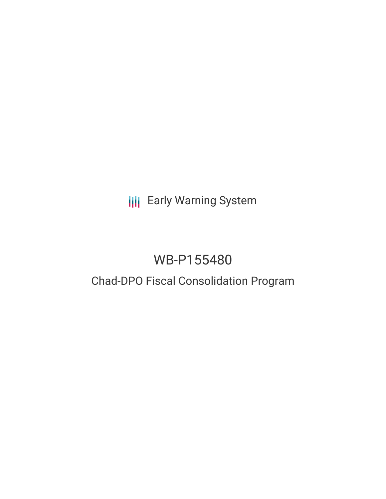# **III** Early Warning System

# WB-P155480

## Chad-DPO Fiscal Consolidation Program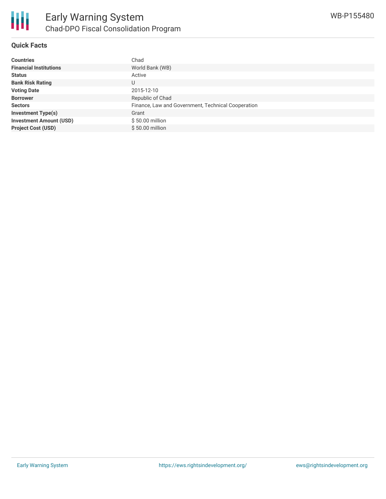

#### **Quick Facts**

| <b>Countries</b>               | Chad                                               |
|--------------------------------|----------------------------------------------------|
| <b>Financial Institutions</b>  | World Bank (WB)                                    |
| <b>Status</b>                  | Active                                             |
| <b>Bank Risk Rating</b>        | U                                                  |
| <b>Voting Date</b>             | 2015-12-10                                         |
| <b>Borrower</b>                | Republic of Chad                                   |
| <b>Sectors</b>                 | Finance, Law and Government, Technical Cooperation |
| <b>Investment Type(s)</b>      | Grant                                              |
| <b>Investment Amount (USD)</b> | \$50.00 million                                    |
| <b>Project Cost (USD)</b>      | \$50.00 million                                    |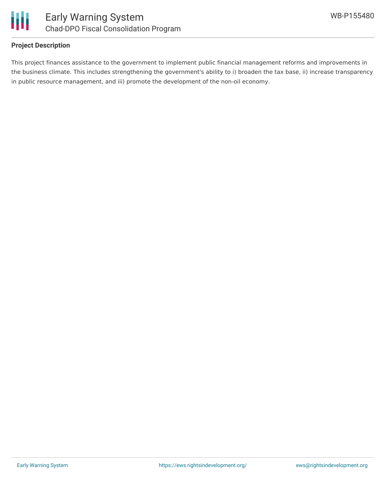

#### **Project Description**

This project finances assistance to the government to implement public financial management reforms and improvements in the business climate. This includes strengthening the government's ability to i) broaden the tax base, ii) increase transparency in public resource management, and iii) promote the development of the non-oil economy.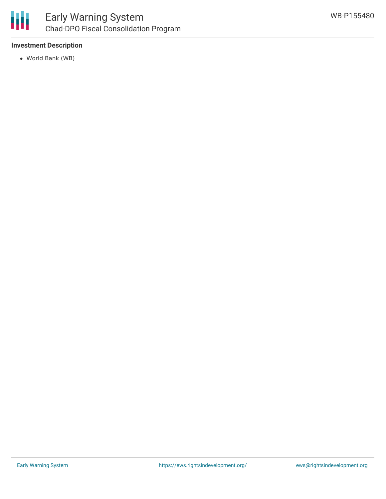

### **Investment Description**

World Bank (WB)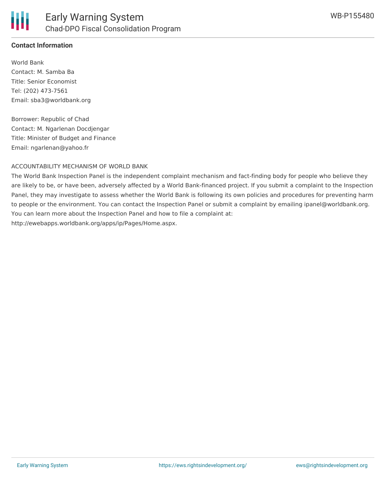

### **Contact Information**

World Bank Contact: M. Samba Ba Title: Senior Economist Tel: (202) 473-7561 Email: sba3@worldbank.org

Borrower: Republic of Chad Contact: M. Ngarlenan Docdjengar Title: Minister of Budget and Finance Email: ngarlenan@yahoo.fr

#### ACCOUNTABILITY MECHANISM OF WORLD BANK

The World Bank Inspection Panel is the independent complaint mechanism and fact-finding body for people who believe they are likely to be, or have been, adversely affected by a World Bank-financed project. If you submit a complaint to the Inspection Panel, they may investigate to assess whether the World Bank is following its own policies and procedures for preventing harm to people or the environment. You can contact the Inspection Panel or submit a complaint by emailing ipanel@worldbank.org. You can learn more about the Inspection Panel and how to file a complaint at: http://ewebapps.worldbank.org/apps/ip/Pages/Home.aspx.